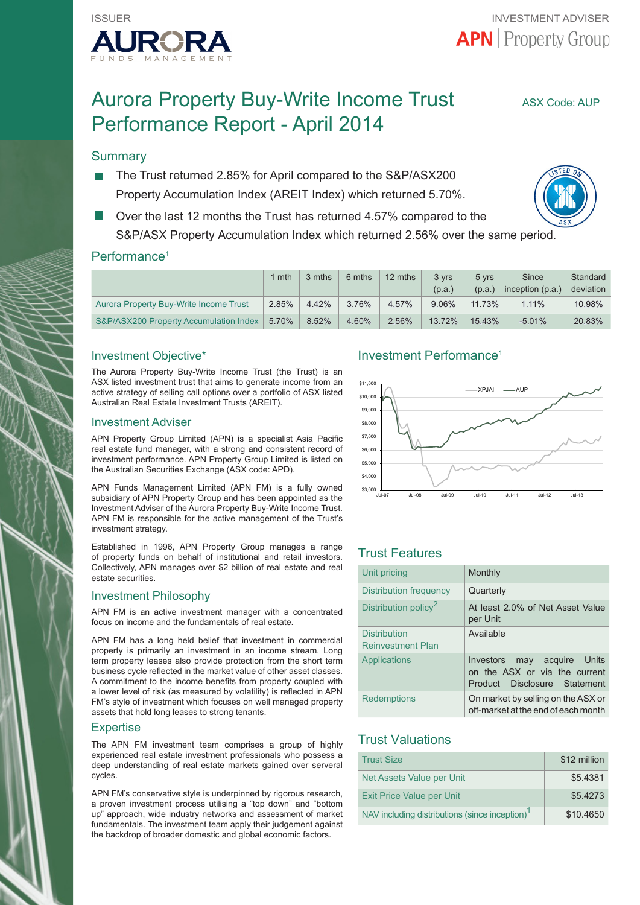

# Aurora Property Buy-Write Income Trust ASX Code: AUP Performance Report - April 2014

# **Summary**

- The Trust returned 2.85% for April compared to the S&P/ASX200 Property Accumulation Index (AREIT Index) which returned 5.70%.
- Over the last 12 months the Trust has returned 4.57% compared to the S&P/ASX Property Accumulation Index which returned 2.56% over the same period.



|                                        | 1 mth | 3 mths | 6 mths | 12 mths  | 3 yrs<br>(p.a.) | 5 vrs<br>(p.a.) | Since<br>inception (p.a.) | Standard<br>deviation |
|----------------------------------------|-------|--------|--------|----------|-----------------|-----------------|---------------------------|-----------------------|
| Aurora Property Buy-Write Income Trust | 2.85% | 4.42%  | 3.76%  | 4.57%    | 9.06%           | $11.73\%$       | 1.11%                     | 10.98%                |
| S&P/ASX200 Property Accumulation Index | 5.70% | 8.52%  | 4.60%  | $2.56\%$ | 13.72%          | 15.43%          | $-5.01%$                  | 20.83%                |

# Investment Objective\*

The Aurora Property Buy-Write Income Trust (the Trust) is an ASX listed investment trust that aims to generate income from an active strategy of selling call options over a portfolio of ASX listed Australian Real Estate Investment Trusts (AREIT).

#### Investment Adviser

APN Property Group Limited (APN) is a specialist Asia Pacific real estate fund manager, with a strong and consistent record of investment performance. APN Property Group Limited is listed on the Australian Securities Exchange (ASX code: APD).

APN Funds Management Limited (APN FM) is a fully owned subsidiary of APN Property Group and has been appointed as the Investment Adviser of the Aurora Property Buy-Write Income Trust. APN FM is responsible for the active management of the Trust's investment strategy.

Established in 1996, APN Property Group manages a range of property funds on behalf of institutional and retail investors. Collectively, APN manages over \$2 billion of real estate and real estate securities.

#### Investment Philosophy

APN FM is an active investment manager with a concentrated focus on income and the fundamentals of real estate.

APN FM has a long held belief that investment in commercial property is primarily an investment in an income stream. Long term property leases also provide protection from the short term business cycle reflected in the market value of other asset classes. A commitment to the income benefits from property coupled with a lower level of risk (as measured by volatility) is reflected in APN FM's style of investment which focuses on well managed property assets that hold long leases to strong tenants.

#### **Expertise**

The APN FM investment team comprises a group of highly experienced real estate investment professionals who possess a deep understanding of real estate markets gained over serveral cycles.

APN FM's conservative style is underpinned by rigorous research, a proven investment process utilising a "top down" and "bottom up" approach, wide industry networks and assessment of market fundamentals. The investment team apply their judgement against the backdrop of broader domestic and global economic factors.

### Investment Performance1



# Trust Features

| Unit pricing                                    | Monthly                                                                                         |
|-------------------------------------------------|-------------------------------------------------------------------------------------------------|
| Distribution frequency                          | Quarterly                                                                                       |
| Distribution policy <sup>2</sup>                | At least 2.0% of Net Asset Value<br>per Unit                                                    |
| <b>Distribution</b><br><b>Reinvestment Plan</b> | Available                                                                                       |
| Applications                                    | may acquire Units<br>Investors<br>on the ASX or via the current<br>Product Disclosure Statement |
| <b>Redemptions</b>                              | On market by selling on the ASX or<br>off-market at the end of each month                       |

# Trust Valuations

| <b>Trust Size</b>                                          | \$12 million |
|------------------------------------------------------------|--------------|
| Net Assets Value per Unit                                  | \$5.4381     |
| <b>Exit Price Value per Unit</b>                           | \$5,4273     |
| NAV including distributions (since inception) <sup>1</sup> | \$10,4650    |